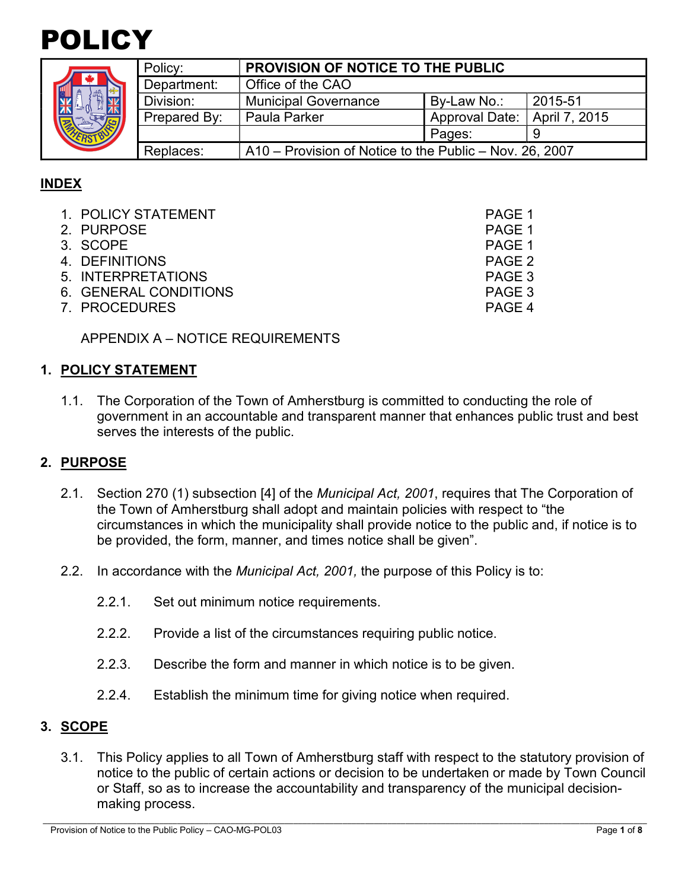



| Policy:      | <b>PROVISION OF NOTICE TO THE PUBLIC</b>                |                |               |
|--------------|---------------------------------------------------------|----------------|---------------|
| Department:  | Office of the CAO                                       |                |               |
| Division:    | <b>Municipal Governance</b>                             | By-Law No.:    | 2015-51       |
| Prepared By: | Paula Parker                                            | Approval Date: | April 7, 2015 |
|              |                                                         | Pages:         |               |
| Replaces:    | A10 – Provision of Notice to the Public – Nov. 26, 2007 |                |               |

# **INDEX**

| 1. POLICY STATEMENT   | PAGE 1 |
|-----------------------|--------|
| 2. PURPOSE            | PAGE 1 |
| 3. SCOPE              | PAGE 1 |
| 4. DEFINITIONS        | PAGE 2 |
| 5. INTERPRETATIONS    | PAGE 3 |
| 6. GENERAL CONDITIONS | PAGE 3 |
| 7. PROCEDURES         | PAGE 4 |

APPENDIX A – NOTICE REQUIREMENTS

### **1. POLICY STATEMENT**

1.1. The Corporation of the Town of Amherstburg is committed to conducting the role of government in an accountable and transparent manner that enhances public trust and best serves the interests of the public.

#### **2. PURPOSE**

- 2.1. Section 270 (1) subsection [4] of the *Municipal Act, 2001*, requires that The Corporation of the Town of Amherstburg shall adopt and maintain policies with respect to "the circumstances in which the municipality shall provide notice to the public and, if notice is to be provided, the form, manner, and times notice shall be given".
- 2.2. In accordance with the *Municipal Act, 2001,* the purpose of this Policy is to:
	- 2.2.1. Set out minimum notice requirements.
	- 2.2.2. Provide a list of the circumstances requiring public notice.
	- 2.2.3. Describe the form and manner in which notice is to be given.
	- 2.2.4. Establish the minimum time for giving notice when required.

#### **3. SCOPE**

3.1. This Policy applies to all Town of Amherstburg staff with respect to the statutory provision of notice to the public of certain actions or decision to be undertaken or made by Town Council or Staff, so as to increase the accountability and transparency of the municipal decisionmaking process.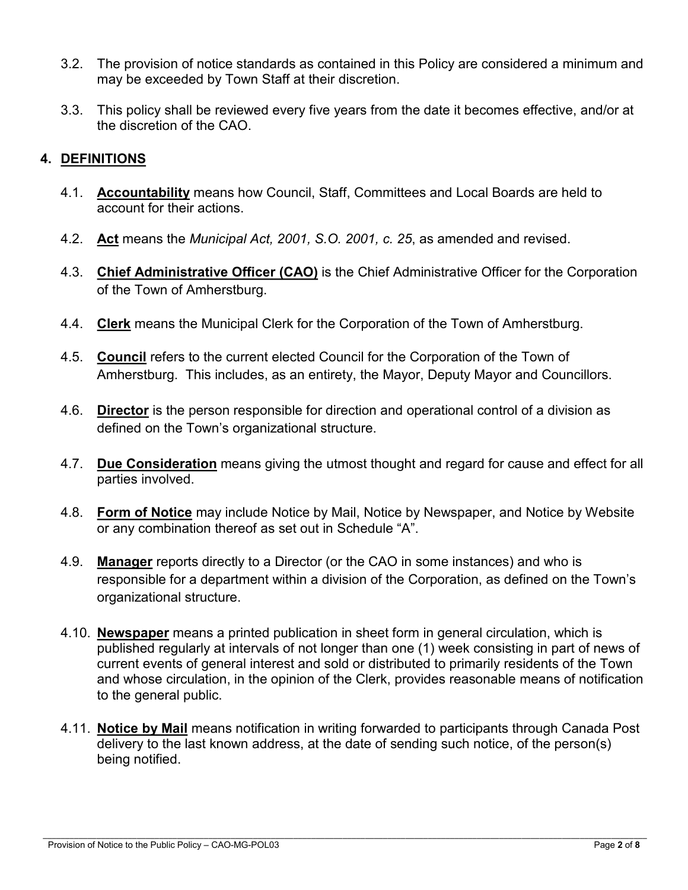- 3.2. The provision of notice standards as contained in this Policy are considered a minimum and may be exceeded by Town Staff at their discretion.
- 3.3. This policy shall be reviewed every five years from the date it becomes effective, and/or at the discretion of the CAO.

### **4. DEFINITIONS**

- 4.1. **Accountability** means how Council, Staff, Committees and Local Boards are held to account for their actions.
- 4.2. **Act** means the *Municipal Act, 2001, S.O. 2001, c. 25*, as amended and revised.
- 4.3. **Chief Administrative Officer (CAO)** is the Chief Administrative Officer for the Corporation of the Town of Amherstburg.
- 4.4. **Clerk** means the Municipal Clerk for the Corporation of the Town of Amherstburg.
- 4.5. **Council** refers to the current elected Council for the Corporation of the Town of Amherstburg. This includes, as an entirety, the Mayor, Deputy Mayor and Councillors.
- 4.6. **Director** is the person responsible for direction and operational control of a division as defined on the Town's organizational structure.
- 4.7. **Due Consideration** means giving the utmost thought and regard for cause and effect for all parties involved.
- 4.8. **Form of Notice** may include Notice by Mail, Notice by Newspaper, and Notice by Website or any combination thereof as set out in Schedule "A".
- 4.9. **Manager** reports directly to a Director (or the CAO in some instances) and who is responsible for a department within a division of the Corporation, as defined on the Town's organizational structure.
- 4.10. **Newspaper** means a printed publication in sheet form in general circulation, which is published regularly at intervals of not longer than one (1) week consisting in part of news of current events of general interest and sold or distributed to primarily residents of the Town and whose circulation, in the opinion of the Clerk, provides reasonable means of notification to the general public.
- 4.11. **Notice by Mail** means notification in writing forwarded to participants through Canada Post delivery to the last known address, at the date of sending such notice, of the person(s) being notified.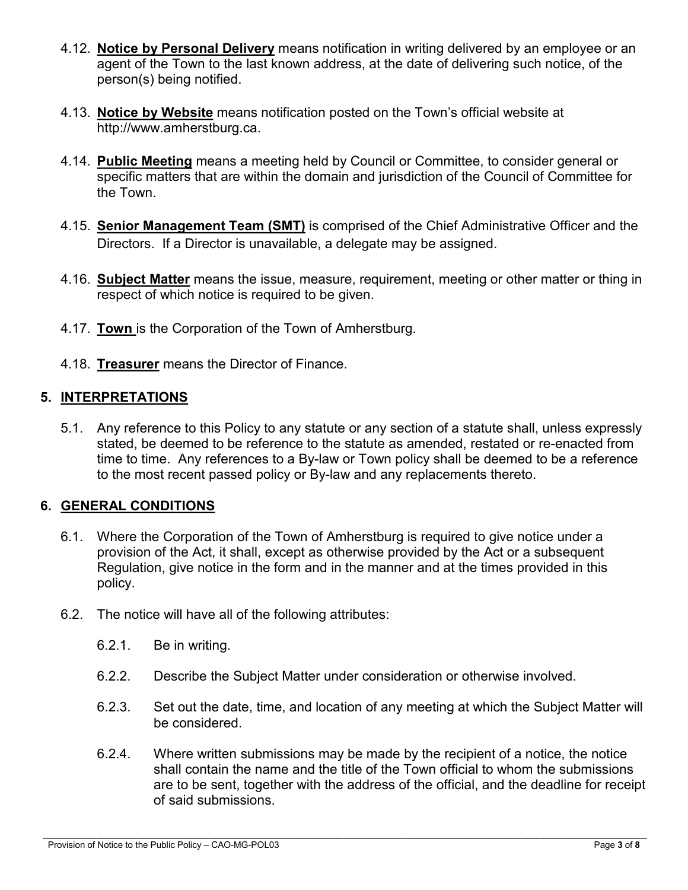- 4.12. **Notice by Personal Delivery** means notification in writing delivered by an employee or an agent of the Town to the last known address, at the date of delivering such notice, of the person(s) being notified.
- 4.13. **Notice by Website** means notification posted on the Town's official website at http://www.amherstburg.ca.
- 4.14. **Public Meeting** means a meeting held by Council or Committee, to consider general or specific matters that are within the domain and jurisdiction of the Council of Committee for the Town.
- 4.15. **Senior Management Team (SMT)** is comprised of the Chief Administrative Officer and the Directors. If a Director is unavailable, a delegate may be assigned.
- 4.16. **Subject Matter** means the issue, measure, requirement, meeting or other matter or thing in respect of which notice is required to be given.
- 4.17. **Town** is the Corporation of the Town of Amherstburg.
- 4.18. **Treasurer** means the Director of Finance.

# **5. INTERPRETATIONS**

5.1. Any reference to this Policy to any statute or any section of a statute shall, unless expressly stated, be deemed to be reference to the statute as amended, restated or re-enacted from time to time. Any references to a By-law or Town policy shall be deemed to be a reference to the most recent passed policy or By-law and any replacements thereto.

# **6. GENERAL CONDITIONS**

- 6.1. Where the Corporation of the Town of Amherstburg is required to give notice under a provision of the Act, it shall, except as otherwise provided by the Act or a subsequent Regulation, give notice in the form and in the manner and at the times provided in this policy.
- 6.2. The notice will have all of the following attributes:
	- 6.2.1. Be in writing.
	- 6.2.2. Describe the Subject Matter under consideration or otherwise involved.
	- 6.2.3. Set out the date, time, and location of any meeting at which the Subject Matter will be considered.
	- 6.2.4. Where written submissions may be made by the recipient of a notice, the notice shall contain the name and the title of the Town official to whom the submissions are to be sent, together with the address of the official, and the deadline for receipt of said submissions.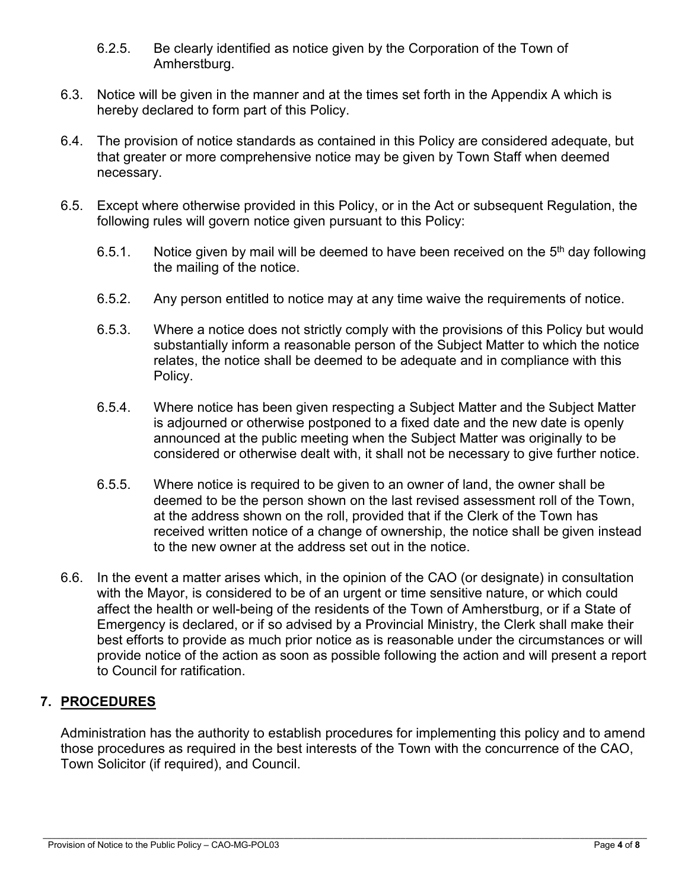- 6.2.5. Be clearly identified as notice given by the Corporation of the Town of Amherstburg.
- 6.3. Notice will be given in the manner and at the times set forth in the Appendix A which is hereby declared to form part of this Policy.
- 6.4. The provision of notice standards as contained in this Policy are considered adequate, but that greater or more comprehensive notice may be given by Town Staff when deemed necessary.
- 6.5. Except where otherwise provided in this Policy, or in the Act or subsequent Regulation, the following rules will govern notice given pursuant to this Policy:
	- 6.5.1. Notice given by mail will be deemed to have been received on the  $5<sup>th</sup>$  day following the mailing of the notice.
	- 6.5.2. Any person entitled to notice may at any time waive the requirements of notice.
	- 6.5.3. Where a notice does not strictly comply with the provisions of this Policy but would substantially inform a reasonable person of the Subject Matter to which the notice relates, the notice shall be deemed to be adequate and in compliance with this Policy.
	- 6.5.4. Where notice has been given respecting a Subject Matter and the Subject Matter is adjourned or otherwise postponed to a fixed date and the new date is openly announced at the public meeting when the Subject Matter was originally to be considered or otherwise dealt with, it shall not be necessary to give further notice.
	- 6.5.5. Where notice is required to be given to an owner of land, the owner shall be deemed to be the person shown on the last revised assessment roll of the Town, at the address shown on the roll, provided that if the Clerk of the Town has received written notice of a change of ownership, the notice shall be given instead to the new owner at the address set out in the notice.
- 6.6. In the event a matter arises which, in the opinion of the CAO (or designate) in consultation with the Mayor, is considered to be of an urgent or time sensitive nature, or which could affect the health or well-being of the residents of the Town of Amherstburg, or if a State of Emergency is declared, or if so advised by a Provincial Ministry, the Clerk shall make their best efforts to provide as much prior notice as is reasonable under the circumstances or will provide notice of the action as soon as possible following the action and will present a report to Council for ratification.

# **7. PROCEDURES**

Administration has the authority to establish procedures for implementing this policy and to amend those procedures as required in the best interests of the Town with the concurrence of the CAO, Town Solicitor (if required), and Council.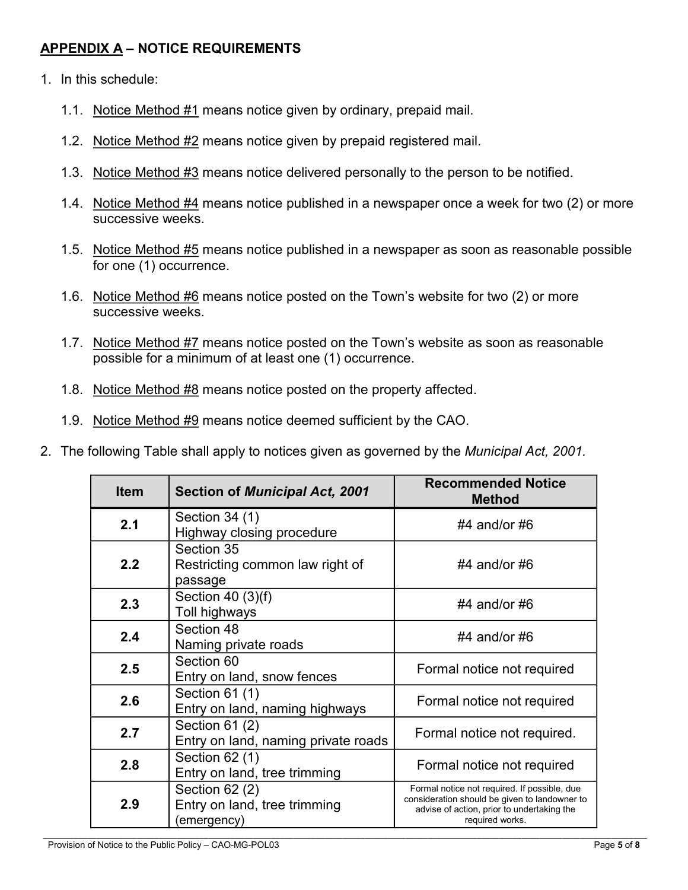# **APPENDIX A – NOTICE REQUIREMENTS**

- 1. In this schedule:
	- 1.1. Notice Method #1 means notice given by ordinary, prepaid mail.
	- 1.2. Notice Method #2 means notice given by prepaid registered mail.
	- 1.3. Notice Method #3 means notice delivered personally to the person to be notified.
	- 1.4. Notice Method #4 means notice published in a newspaper once a week for two (2) or more successive weeks.
	- 1.5. Notice Method #5 means notice published in a newspaper as soon as reasonable possible for one (1) occurrence.
	- 1.6. Notice Method #6 means notice posted on the Town's website for two (2) or more successive weeks.
	- 1.7. Notice Method #7 means notice posted on the Town's website as soon as reasonable possible for a minimum of at least one (1) occurrence.
	- 1.8. Notice Method #8 means notice posted on the property affected.
	- 1.9. Notice Method #9 means notice deemed sufficient by the CAO.
- 2. The following Table shall apply to notices given as governed by the *Municipal Act, 2001.*

| <b>Item</b><br><b>Section of Municipal Act, 2001</b> |                                                                | <b>Recommended Notice</b><br><b>Method</b>                                                                                                                     |  |
|------------------------------------------------------|----------------------------------------------------------------|----------------------------------------------------------------------------------------------------------------------------------------------------------------|--|
| 2.1                                                  | Section 34 (1)<br>Highway closing procedure                    | #4 and/or #6                                                                                                                                                   |  |
| 2.2                                                  | Section 35<br>Restricting common law right of<br>passage       | #4 and/or #6                                                                                                                                                   |  |
| 2.3                                                  | Section 40 $(3)(f)$<br>Toll highways                           | #4 and/or #6                                                                                                                                                   |  |
| 2.4                                                  | Section 48<br>Naming private roads                             | #4 and/or $#6$                                                                                                                                                 |  |
| 2.5                                                  | Section 60<br>Entry on land, snow fences                       | Formal notice not required                                                                                                                                     |  |
| 2.6                                                  | Section 61 (1)<br>Entry on land, naming highways               | Formal notice not required                                                                                                                                     |  |
| 2.7                                                  | Section 61 (2)<br>Entry on land, naming private roads          | Formal notice not required.                                                                                                                                    |  |
| 2.8                                                  | Section 62 (1)<br>Entry on land, tree trimming                 | Formal notice not required                                                                                                                                     |  |
| 2.9                                                  | Section $62(2)$<br>Entry on land, tree trimming<br>(emergency) | Formal notice not required. If possible, due<br>consideration should be given to landowner to<br>advise of action, prior to undertaking the<br>required works. |  |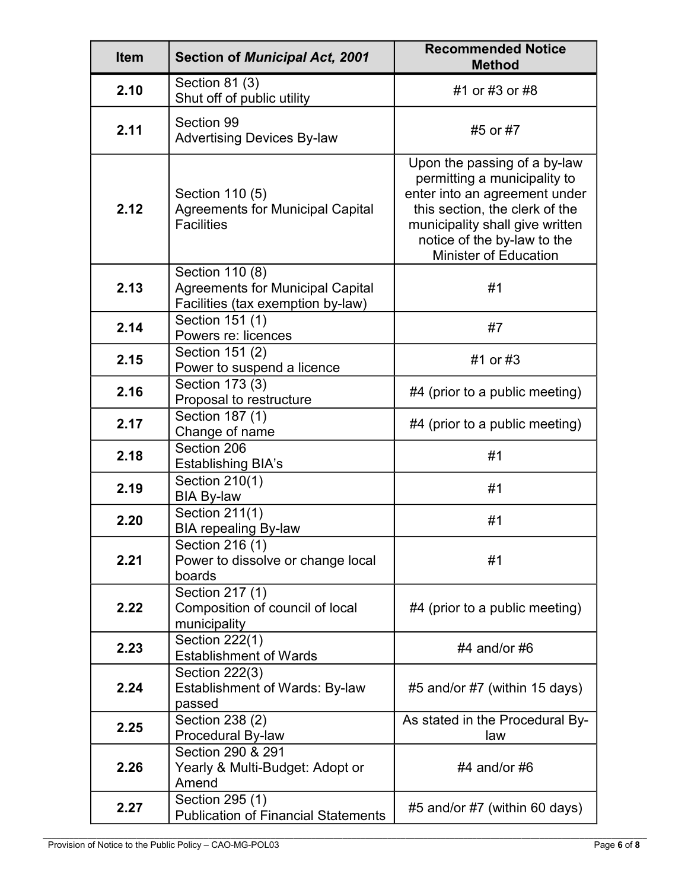| <b>Item</b> | <b>Section of Municipal Act, 2001</b>                                                           | <b>Recommended Notice</b><br><b>Method</b>                                                                                                                                                                                        |
|-------------|-------------------------------------------------------------------------------------------------|-----------------------------------------------------------------------------------------------------------------------------------------------------------------------------------------------------------------------------------|
| 2.10        | Section 81 (3)<br>Shut off of public utility                                                    | #1 or #3 or #8                                                                                                                                                                                                                    |
| 2.11        | Section 99<br><b>Advertising Devices By-law</b>                                                 | #5 or #7                                                                                                                                                                                                                          |
| 2.12        | Section 110 (5)<br><b>Agreements for Municipal Capital</b><br><b>Facilities</b>                 | Upon the passing of a by-law<br>permitting a municipality to<br>enter into an agreement under<br>this section, the clerk of the<br>municipality shall give written<br>notice of the by-law to the<br><b>Minister of Education</b> |
| 2.13        | Section 110 (8)<br><b>Agreements for Municipal Capital</b><br>Facilities (tax exemption by-law) | #1                                                                                                                                                                                                                                |
| 2.14        | Section 151 (1)<br>Powers re: licences                                                          | #7                                                                                                                                                                                                                                |
| 2.15        | Section 151 (2)<br>Power to suspend a licence                                                   | #1 or #3                                                                                                                                                                                                                          |
| 2.16        | Section 173 (3)<br>Proposal to restructure                                                      | #4 (prior to a public meeting)                                                                                                                                                                                                    |
| 2.17        | Section 187 (1)<br>Change of name                                                               | #4 (prior to a public meeting)                                                                                                                                                                                                    |
| 2.18        | Section 206<br><b>Establishing BIA's</b>                                                        | #1                                                                                                                                                                                                                                |
| 2.19        | Section 210(1)<br><b>BIA By-law</b>                                                             | #1                                                                                                                                                                                                                                |
| 2.20        | Section 211(1)<br><b>BIA repealing By-law</b>                                                   | #1                                                                                                                                                                                                                                |
| 2.21        | Section 216 (1)<br>Power to dissolve or change local<br>boards                                  | #1                                                                                                                                                                                                                                |
| 2.22        | Section 217 (1)<br>Composition of council of local<br>municipality                              | $#4$ (prior to a public meeting)                                                                                                                                                                                                  |
| 2.23        | Section 222(1)<br><b>Establishment of Wards</b>                                                 | #4 and/or $#6$                                                                                                                                                                                                                    |
| 2.24        | Section 222(3)<br><b>Establishment of Wards: By-law</b><br>passed                               | $#5$ and/or $#7$ (within 15 days)                                                                                                                                                                                                 |
| 2.25        | Section 238 (2)<br>Procedural By-law                                                            | As stated in the Procedural By-<br>law                                                                                                                                                                                            |
| 2.26        | Section 290 & 291<br>Yearly & Multi-Budget: Adopt or<br>Amend                                   | #4 and/or $#6$                                                                                                                                                                                                                    |
| 2.27        | Section 295 (1)<br><b>Publication of Financial Statements</b>                                   | #5 and/or #7 (within 60 days)                                                                                                                                                                                                     |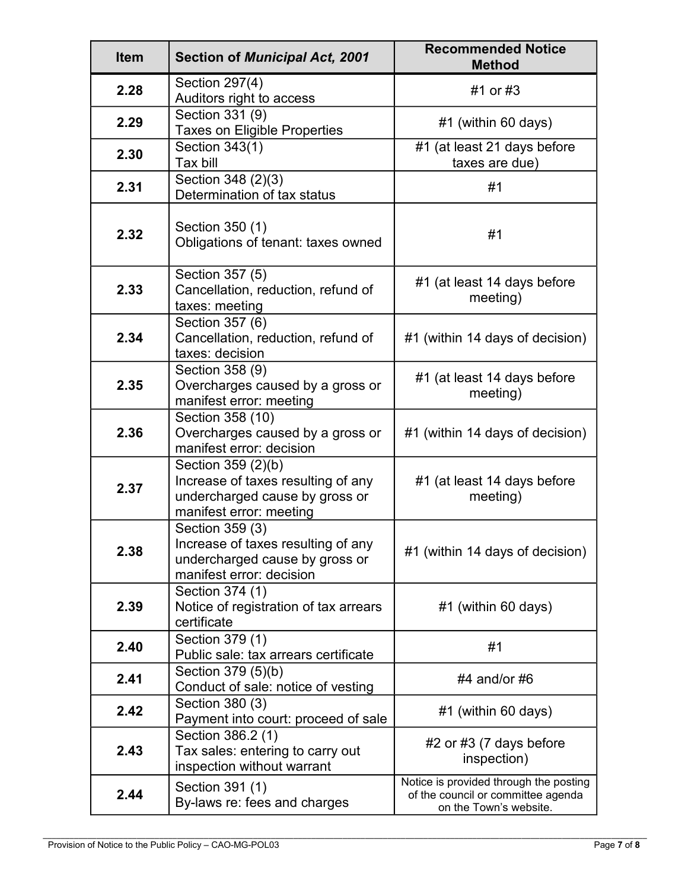| <b>Item</b> | <b>Section of Municipal Act, 2001</b>                                                                                 | <b>Recommended Notice</b><br><b>Method</b>                                                             |
|-------------|-----------------------------------------------------------------------------------------------------------------------|--------------------------------------------------------------------------------------------------------|
| 2.28        | Section 297(4)<br>Auditors right to access                                                                            | #1 or #3                                                                                               |
| 2.29        | Section 331 (9)<br><b>Taxes on Eligible Properties</b>                                                                | #1 (within 60 days)                                                                                    |
| 2.30        | Section 343(1)<br>Tax bill                                                                                            | #1 (at least 21 days before<br>taxes are due)                                                          |
| 2.31        | Section 348 (2)(3)<br>Determination of tax status                                                                     | #1                                                                                                     |
| 2.32        | Section 350 (1)<br>Obligations of tenant: taxes owned                                                                 | #1                                                                                                     |
| 2.33        | Section 357 (5)<br>Cancellation, reduction, refund of<br>taxes: meeting                                               | #1 (at least 14 days before<br>meeting)                                                                |
| 2.34        | Section 357 (6)<br>Cancellation, reduction, refund of<br>taxes: decision                                              | #1 (within 14 days of decision)                                                                        |
| 2.35        | Section 358 (9)<br>Overcharges caused by a gross or<br>manifest error: meeting                                        | #1 (at least 14 days before<br>meeting)                                                                |
| 2.36        | Section 358 (10)<br>Overcharges caused by a gross or<br>manifest error: decision                                      | #1 (within 14 days of decision)                                                                        |
| 2.37        | Section 359 (2)(b)<br>Increase of taxes resulting of any<br>undercharged cause by gross or<br>manifest error: meeting | #1 (at least 14 days before<br>meeting)                                                                |
| 2.38        | Section 359 (3)<br>Increase of taxes resulting of any<br>undercharged cause by gross or<br>manifest error: decision   | #1 (within 14 days of decision)                                                                        |
| 2.39        | Section 374 (1)<br>Notice of registration of tax arrears<br>certificate                                               | #1 (within 60 days)                                                                                    |
| 2.40        | Section 379 (1)<br>Public sale: tax arrears certificate                                                               | #1                                                                                                     |
| 2.41        | Section 379 (5)(b)<br>Conduct of sale: notice of vesting                                                              | #4 and/or $#6$                                                                                         |
| 2.42        | Section 380 (3)<br>Payment into court: proceed of sale                                                                | #1 (within 60 days)                                                                                    |
| 2.43        | Section 386.2 (1)<br>Tax sales: entering to carry out<br>inspection without warrant                                   | $#2$ or $#3$ (7 days before<br>inspection)                                                             |
| 2.44        | Section 391 (1)<br>By-laws re: fees and charges                                                                       | Notice is provided through the posting<br>of the council or committee agenda<br>on the Town's website. |